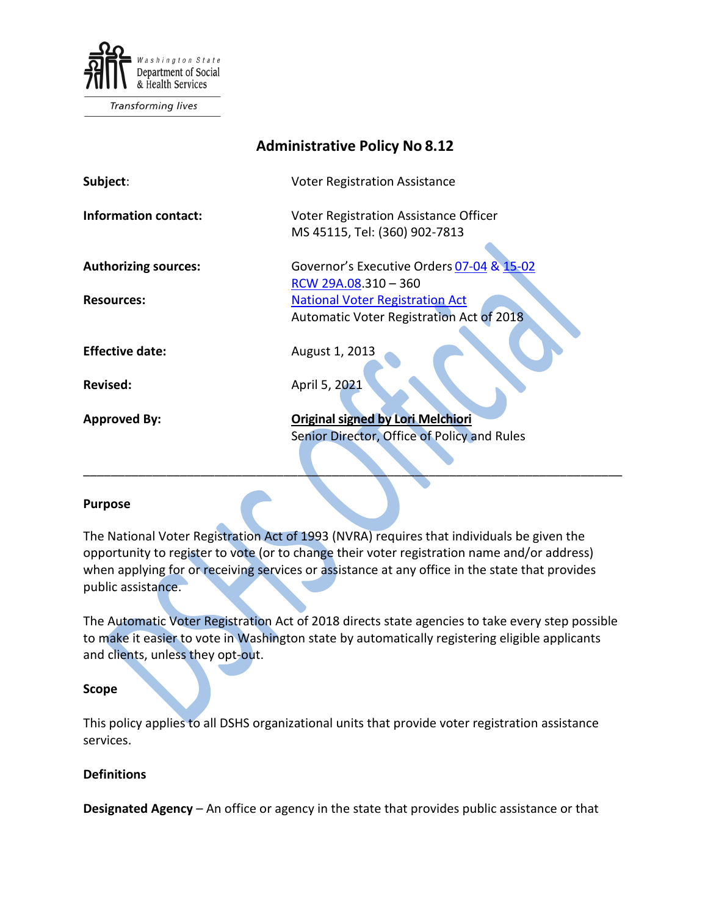

Transforming lives

| <b>Administrative Policy No 8.12</b> |                                                                                                            |
|--------------------------------------|------------------------------------------------------------------------------------------------------------|
| Subject:                             | <b>Voter Registration Assistance</b>                                                                       |
| <b>Information contact:</b>          | Voter Registration Assistance Officer<br>MS 45115, Tel: (360) 902-7813                                     |
| <b>Authorizing sources:</b>          | Governor's Executive Orders 07-04 & 15-02                                                                  |
| <b>Resources:</b>                    | RCW 29A.08.310 - 360<br><b>National Voter Registration Act</b><br>Automatic Voter Registration Act of 2018 |
| <b>Effective date:</b>               | August 1, 2013                                                                                             |
| <b>Revised:</b>                      | April 5, 2021                                                                                              |
| <b>Approved By:</b>                  | <b>Original signed by Lori Melchiori</b><br>Senior Director, Office of Policy and Rules                    |
|                                      |                                                                                                            |

## **Purpose**

The National Voter Registration Act of 1993 (NVRA) requires that individuals be given the opportunity to register to vote (or to change their voter registration name and/or address) when applying for or receiving services or assistance at any office in the state that provides public assistance.

\_\_\_\_\_\_\_\_\_\_\_\_\_\_\_\_\_\_\_\_\_\_\_\_\_\_\_\_\_\_\_\_\_\_\_\_\_\_\_\_\_\_\_\_\_\_\_\_\_\_\_\_\_\_\_\_\_\_\_\_\_\_\_\_\_\_\_\_\_\_\_\_\_\_\_\_\_\_

The Automatic Voter Registration Act of 2018 directs state agencies to take every step possible to make it easier to vote in Washington state by automatically registering eligible applicants and clients, unless they opt-out.

## **Scope**

This policy applies to all DSHS organizational units that provide voter registration assistance services.

## **Definitions**

**Designated Agency** – An office or agency in the state that provides public assistance or that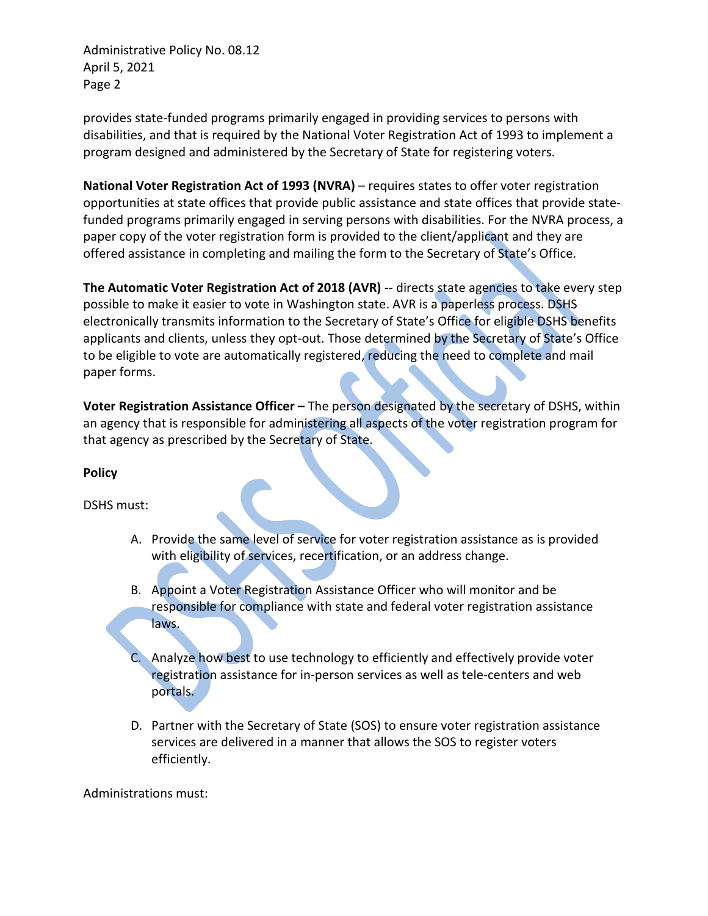Administrative Policy No. 08.12 April 5, 2021 Page 2

provides state-funded programs primarily engaged in providing services to persons with disabilities, and that is required by the National Voter Registration Act of 1993 to implement a program designed and administered by the Secretary of State for registering voters.

**National Voter Registration Act of 1993 (NVRA)** – requires states to offer voter registration opportunities at state offices that provide public assistance and state offices that provide statefunded programs primarily engaged in serving persons with disabilities. For the NVRA process, a paper copy of the voter registration form is provided to the client/applicant and they are offered assistance in completing and mailing the form to the Secretary of State's Office.

**The Automatic Voter Registration Act of 2018 (AVR)** -- directs state agencies to take every step possible to make it easier to vote in Washington state. AVR is a paperless process. DSHS electronically transmits information to the Secretary of State's Office for eligible DSHS benefits applicants and clients, unless they opt-out. Those determined by the Secretary of State's Office to be eligible to vote are automatically registered, reducing the need to complete and mail paper forms.

**Voter Registration Assistance Officer –** The person designated by the secretary of DSHS, within an agency that is responsible for administering all aspects of the voter registration program for that agency as prescribed by the Secretary of State.

## **Policy**

DSHS must:

- A. Provide the same level of service for voter registration assistance as is provided with eligibility of services, recertification, or an address change.
- B. Appoint a Voter Registration Assistance Officer who will monitor and be responsible for compliance with state and federal voter registration assistance laws.
	- Analyze how best to use technology to efficiently and effectively provide voter registration assistance for in-person services as well as tele-centers and web portals.
- D. Partner with the Secretary of State (SOS) to ensure voter registration assistance services are delivered in a manner that allows the SOS to register voters efficiently.

Administrations must: